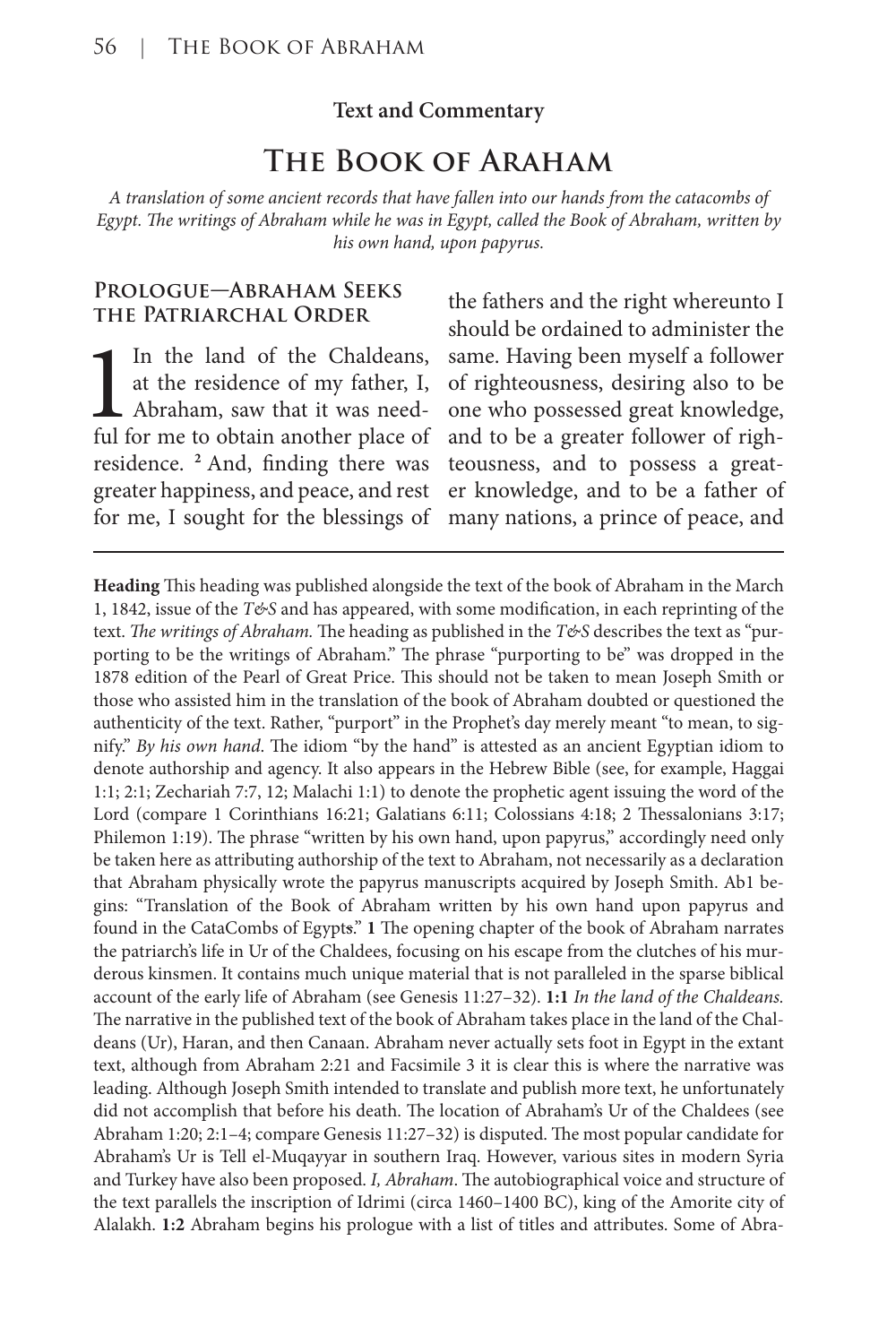#### **Text and Commentary**

# **The Book of Araham**

*A translation of some ancient records that have fallen into our hands from the catacombs of Egypt. The writings of Abraham while he was in Egypt, called the Book of Abraham, written by his own hand, upon papyrus.*

#### **Prologue—Abraham Seeks the Patriarchal Order**

In the land of the Chaldeans,<br>at the residence of my father, I,<br>Abraham, saw that it was need-<br>ful for me to obtain another place of at the residence of my father, I, Abraham, saw that it was needful for me to obtain another place of residence. **<sup>2</sup>**And, finding there was greater happiness, and peace, and rest for me, I sought for the blessings of

the fathers and the right whereunto I should be ordained to administer the same. Having been myself a follower of righteousness, desiring also to be one who possessed great knowledge, and to be a greater follower of righteousness, and to possess a greater knowledge, and to be a father of many nations, a prince of peace, and

**Heading** This heading was published alongside the text of the book of Abraham in the March 1, 1842, issue of the  $T\mathcal{C}S$  and has appeared, with some modification, in each reprinting of the text. *The writings of Abraham*. The heading as published in the *T&S* describes the text as "purporting to be the writings of Abraham." The phrase "purporting to be" was dropped in the 1878 edition of the Pearl of Great Price. This should not be taken to mean Joseph Smith or those who assisted him in the translation of the book of Abraham doubted or questioned the authenticity of the text. Rather, "purport" in the Prophet's day merely meant "to mean, to signify." *By his own hand*. The idiom "by the hand" is attested as an ancient Egyptian idiom to denote authorship and agency. It also appears in the Hebrew Bible (see, for example, Haggai 1:1; 2:1; Zechariah 7:7, 12; Malachi 1:1) to denote the prophetic agent issuing the word of the Lord (compare 1 Corinthians 16:21; Galatians 6:11; Colossians 4:18; 2 Thessalonians 3:17; Philemon 1:19). The phrase "written by his own hand, upon papyrus," accordingly need only be taken here as attributing authorship of the text to Abraham, not necessarily as a declaration that Abraham physically wrote the papyrus manuscripts acquired by Joseph Smith. Ab1 begins: "Translation of the Book of Abraham written by his own hand upon papyrus and found in the CataCombs of Egypts." **1** The opening chapter of the book of Abraham narrates the patriarch's life in Ur of the Chaldees, focusing on his escape from the clutches of his murderous kinsmen. It contains much unique material that is not paralleled in the sparse biblical account of the early life of Abraham (see Genesis 11:27–32). **1:1** *In the land of the Chaldeans.*  The narrative in the published text of the book of Abraham takes place in the land of the Chaldeans (Ur), Haran, and then Canaan. Abraham never actually sets foot in Egypt in the extant text, although from Abraham 2:21 and Facsimile 3 it is clear this is where the narrative was leading. Although Joseph Smith intended to translate and publish more text, he unfortunately did not accomplish that before his death. The location of Abraham's Ur of the Chaldees (see Abraham 1:20; 2:1–4; compare Genesis 11:27–32) is disputed. The most popular candidate for Abraham's Ur is Tell el-Muqayyar in southern Iraq. However, various sites in modern Syria and Turkey have also been proposed. *I, Abraham*. The autobiographical voice and structure of the text parallels the inscription of Idrimi (circa 1460–1400 BC), king of the Amorite city of Alalakh. **1:2** Abraham begins his prologue with a list of titles and attributes. Some of Abra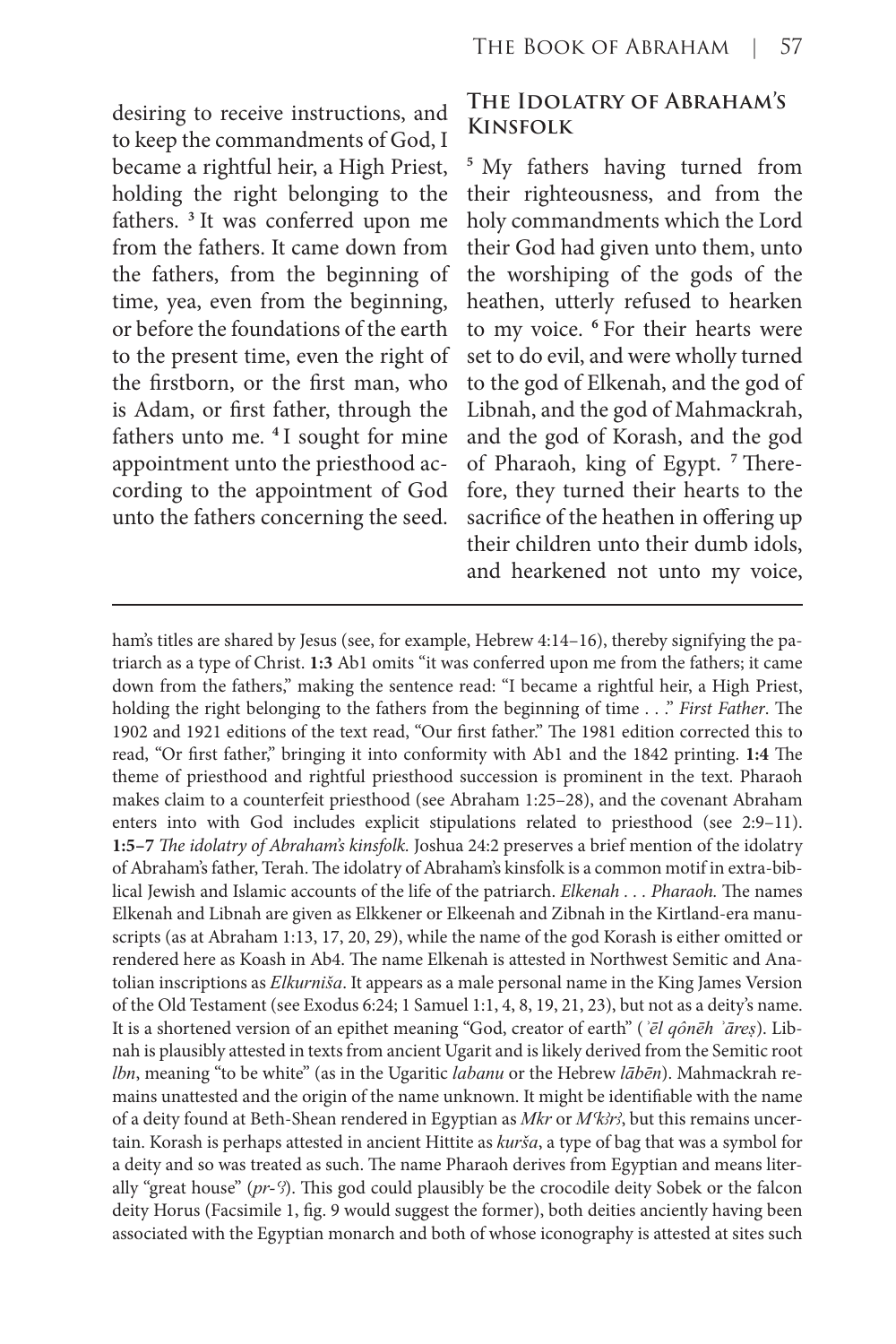desiring to receive instructions, and to keep the commandments of God, I became a rightful heir, a High Priest, holding the right belonging to the fathers. **<sup>3</sup>**It was conferred upon me from the fathers. It came down from the fathers, from the beginning of time, yea, even from the beginning, or before the foundations of the earth to the present time, even the right of the firstborn, or the first man, who is Adam, or first father, through the fathers unto me. **<sup>4</sup>**I sought for mine appointment unto the priesthood according to the appointment of God unto the fathers concerning the seed.

# **The Idolatry of Abraham's Kinsfolk**

**<sup>5</sup>** My fathers having turned from their righteousness, and from the holy commandments which the Lord their God had given unto them, unto the worshiping of the gods of the heathen, utterly refused to hearken to my voice. **<sup>6</sup>**For their hearts were set to do evil, and were wholly turned to the god of Elkenah, and the god of Libnah, and the god of Mahmackrah, and the god of Korash, and the god of Pharaoh, king of Egypt. **7** Therefore, they turned their hearts to the sacrifice of the heathen in offering up their children unto their dumb idols, and hearkened not unto my voice,

ham's titles are shared by Jesus (see, for example, Hebrew 4:14–16), thereby signifying the patriarch as a type of Christ. **1:3** Ab1 omits "it was conferred upon me from the fathers; it came down from the fathers," making the sentence read: "I became a rightful heir, a High Priest, holding the right belonging to the fathers from the beginning of time . . ." *First Father*. The 1902 and 1921 editions of the text read, "Our first father." The 1981 edition corrected this to read, "Or first father," bringing it into conformity with Ab1 and the 1842 printing. **1:4** The theme of priesthood and rightful priesthood succession is prominent in the text. Pharaoh makes claim to a counterfeit priesthood (see Abraham 1:25–28), and the covenant Abraham enters into with God includes explicit stipulations related to priesthood (see 2:9–11). **1:5–7** *The idolatry of Abraham's kinsfolk.* Joshua 24:2 preserves a brief mention of the idolatry of Abraham's father, Terah. The idolatry of Abraham's kinsfolk is a common motif in extra-biblical Jewish and Islamic accounts of the life of the patriarch. *Elkenah . . . Pharaoh.* The names Elkenah and Libnah are given as Elkkener or Elkeenah and Zibnah in the Kirtland-era manuscripts (as at Abraham 1:13, 17, 20, 29), while the name of the god Korash is either omitted or rendered here as Koash in Ab4. The name Elkenah is attested in Northwest Semitic and Anatolian inscriptions as *Elkurniša*. It appears as a male personal name in the King James Version of the Old Testament (see Exodus 6:24; 1 Samuel 1:1, 4, 8, 19, 21, 23), but not as a deity's name. It is a shortened version of an epithet meaning "God, creator of earth" (*ʾēl qônēh ʾāreṣ*). Libnah is plausibly attested in texts from ancient Ugarit and is likely derived from the Semitic root *lbn*, meaning "to be white" (as in the Ugaritic *labanu* or the Hebrew *lābēn*). Mahmackrah remains unattested and the origin of the name unknown. It might be identifiable with the name of a deity found at Beth-Shean rendered in Egyptian as *Mkr* or *M<sup>k</sup>kr*<sup>2</sup>, but this remains uncertain. Korash is perhaps attested in ancient Hittite as *kurša*, a type of bag that was a symbol for a deity and so was treated as such. The name Pharaoh derives from Egyptian and means literally "great house" (*pr*-<sup>*S*</sup>). This god could plausibly be the crocodile deity Sobek or the falcon deity Horus (Facsimile 1, fig. 9 would suggest the former), both deities anciently having been associated with the Egyptian monarch and both of whose iconography is attested at sites such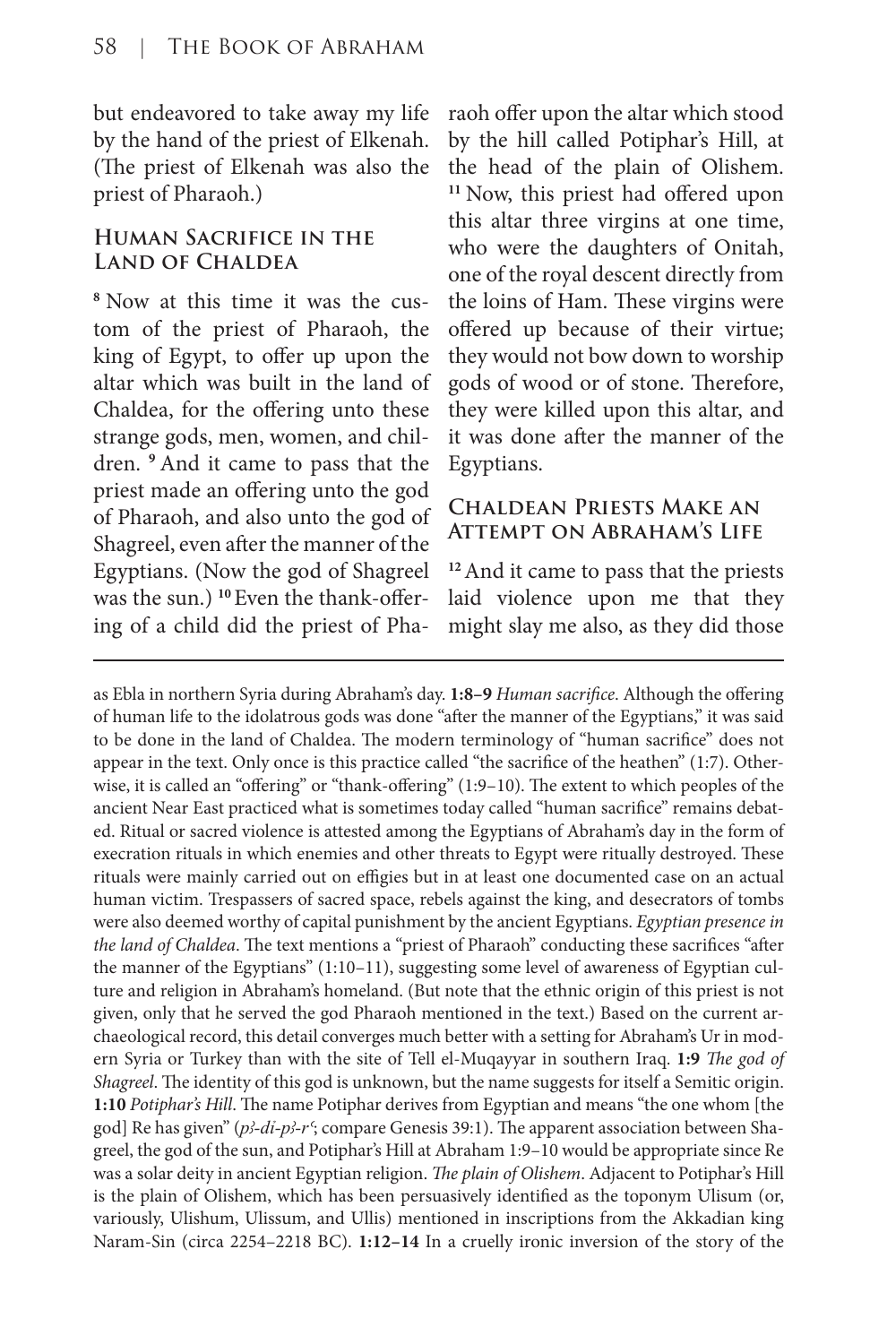but endeavored to take away my life by the hand of the priest of Elkenah. (The priest of Elkenah was also the priest of Pharaoh.)

# **Human Sacrifice in the Land of Chaldea**

**8** Now at this time it was the custom of the priest of Pharaoh, the king of Egypt, to offer up upon the altar which was built in the land of Chaldea, for the offering unto these strange gods, men, women, and children. **<sup>9</sup>**And it came to pass that the priest made an offering unto the god of Pharaoh, and also unto the god of Shagreel, even after the manner of the Egyptians. (Now the god of Shagreel was the sun.) **10** Even the thank-offering of a child did the priest of Pharaoh offer upon the altar which stood by the hill called Potiphar's Hill, at the head of the plain of Olishem. **<sup>11</sup>**Now, this priest had offered upon this altar three virgins at one time, who were the daughters of Onitah, one of the royal descent directly from the loins of Ham. These virgins were offered up because of their virtue; they would not bow down to worship gods of wood or of stone. Therefore, they were killed upon this altar, and it was done after the manner of the Egyptians.

## **Chaldean Priests Make an Attempt on Abraham's Life**

**<sup>12</sup>**And it came to pass that the priests laid violence upon me that they might slay me also, as they did those

as Ebla in northern Syria during Abraham's day. **1:8–9** *Human sacrifice*. Although the offering of human life to the idolatrous gods was done "after the manner of the Egyptians," it was said to be done in the land of Chaldea. The modern terminology of "human sacrifice" does not appear in the text. Only once is this practice called "the sacrifice of the heathen" (1:7). Otherwise, it is called an "offering" or "thank-offering" (1:9–10). The extent to which peoples of the ancient Near East practiced what is sometimes today called "human sacrifice" remains debated. Ritual or sacred violence is attested among the Egyptians of Abraham's day in the form of execration rituals in which enemies and other threats to Egypt were ritually destroyed. These rituals were mainly carried out on effigies but in at least one documented case on an actual human victim. Trespassers of sacred space, rebels against the king, and desecrators of tombs were also deemed worthy of capital punishment by the ancient Egyptians. *Egyptian presence in the land of Chaldea*. The text mentions a "priest of Pharaoh" conducting these sacrifices "after the manner of the Egyptians" (1:10–11), suggesting some level of awareness of Egyptian culture and religion in Abraham's homeland. (But note that the ethnic origin of this priest is not given, only that he served the god Pharaoh mentioned in the text.) Based on the current archaeological record, this detail converges much better with a setting for Abraham's Ur in modern Syria or Turkey than with the site of Tell el-Muqayyar in southern Iraq. **1:9** *The god of Shagreel*. The identity of this god is unknown, but the name suggests for itself a Semitic origin. **1:10** *Potiphar's Hill*. The name Potiphar derives from Egyptian and means "the one whom [the god] Re has given" (p<sup>3</sup>-di-p<sup>3</sup>-r<sup>c</sup>; compare Genesis 39:1). The apparent association between Shagreel, the god of the sun, and Potiphar's Hill at Abraham 1:9–10 would be appropriate since Re was a solar deity in ancient Egyptian religion. *The plain of Olishem*. Adjacent to Potiphar's Hill is the plain of Olishem, which has been persuasively identified as the toponym Ulisum (or, variously, Ulishum, Ulissum, and Ullis) mentioned in inscriptions from the Akkadian king Naram-Sin (circa 2254–2218 BC). **1:12–14** In a cruelly ironic inversion of the story of the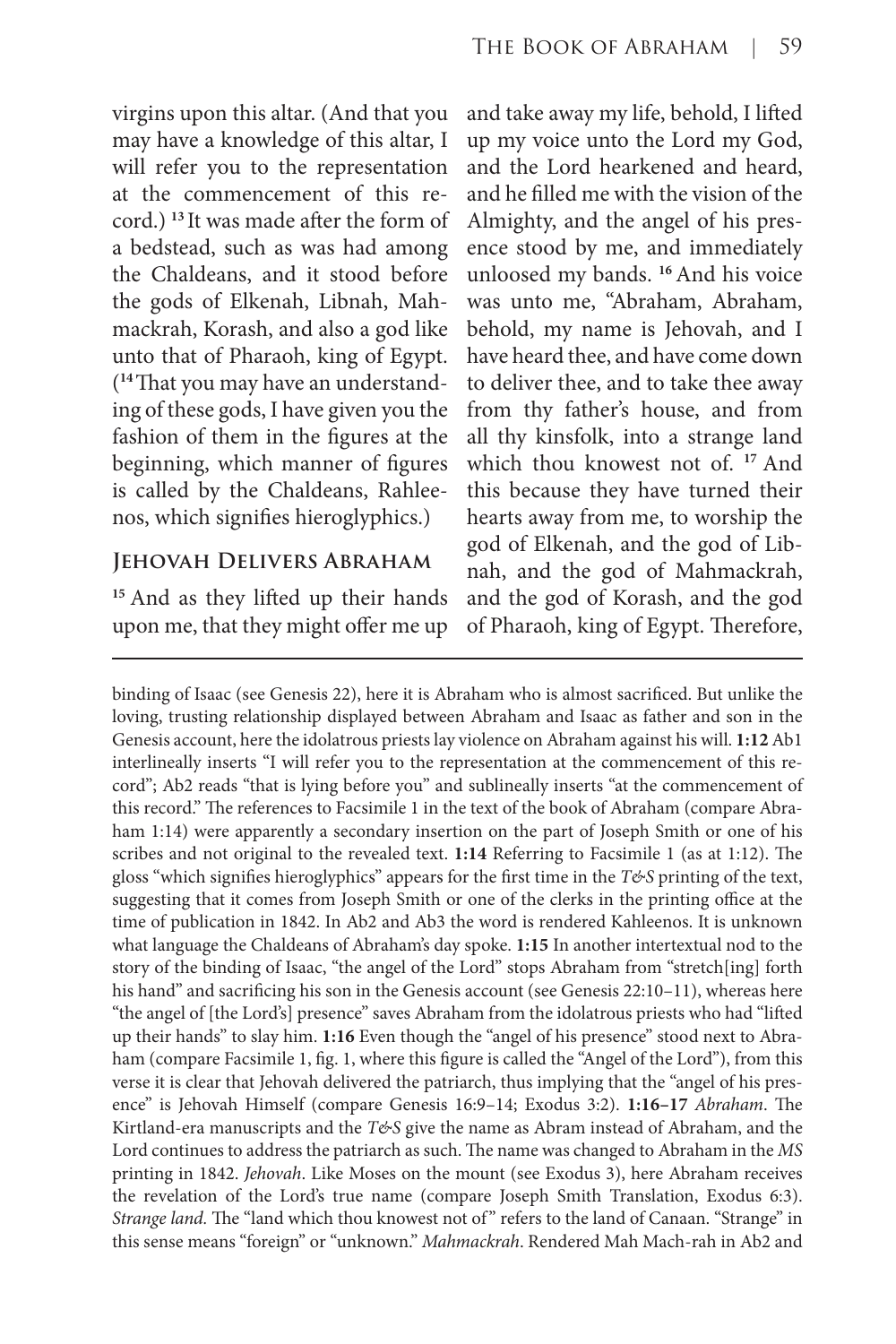virgins upon this altar. (And that you may have a knowledge of this altar, I will refer you to the representation at the commencement of this record.) **<sup>13</sup>**It was made after the form of a bedstead, such as was had among the Chaldeans, and it stood before the gods of Elkenah, Libnah, Mahmackrah, Korash, and also a god like unto that of Pharaoh, king of Egypt. (**14** That you may have an understanding of these gods, I have given you the fashion of them in the figures at the beginning, which manner of figures is called by the Chaldeans, Rahleenos, which signifies hieroglyphics.)

# **Jehovah Delivers Abraham**

**<sup>15</sup>**And as they lifted up their hands upon me, that they might offer me up and take away my life, behold, I lifted up my voice unto the Lord my God, and the Lord hearkened and heard, and he filled me with the vision of the Almighty, and the angel of his presence stood by me, and immediately unloosed my bands. **<sup>16</sup>**And his voice was unto me, "Abraham, Abraham, behold, my name is Jehovah, and I have heard thee, and have come down to deliver thee, and to take thee away from thy father's house, and from all thy kinsfolk, into a strange land which thou knowest not of. **<sup>17</sup>**And this because they have turned their hearts away from me, to worship the god of Elkenah, and the god of Libnah, and the god of Mahmackrah, and the god of Korash, and the god of Pharaoh, king of Egypt. Therefore,

binding of Isaac (see Genesis 22), here it is Abraham who is almost sacrificed. But unlike the loving, trusting relationship displayed between Abraham and Isaac as father and son in the Genesis account, here the idolatrous priests lay violence on Abraham against his will. **1:12** Ab1 interlineally inserts "I will refer you to the representation at the commencement of this record"; Ab2 reads "that is lying before you" and sublineally inserts "at the commencement of this record." The references to Facsimile 1 in the text of the book of Abraham (compare Abraham 1:14) were apparently a secondary insertion on the part of Joseph Smith or one of his scribes and not original to the revealed text. **1:14** Referring to Facsimile 1 (as at 1:12). The gloss "which signifies hieroglyphics" appears for the first time in the *T&S* printing of the text, suggesting that it comes from Joseph Smith or one of the clerks in the printing office at the time of publication in 1842. In Ab2 and Ab3 the word is rendered Kahleenos. It is unknown what language the Chaldeans of Abraham's day spoke. **1:15** In another intertextual nod to the story of the binding of Isaac, "the angel of the Lord" stops Abraham from "stretch[ing] forth his hand" and sacrificing his son in the Genesis account (see Genesis 22:10-11), whereas here "the angel of [the Lord's] presence" saves Abraham from the idolatrous priests who had "lifted up their hands" to slay him. **1:16** Even though the "angel of his presence" stood next to Abraham (compare Facsimile 1, fig. 1, where this figure is called the "Angel of the Lord"), from this verse it is clear that Jehovah delivered the patriarch, thus implying that the "angel of his presence" is Jehovah Himself (compare Genesis 16:9–14; Exodus 3:2). **1:16–17** *Abraham*. The Kirtland-era manuscripts and the *T&S* give the name as Abram instead of Abraham, and the Lord continues to address the patriarch as such. The name was changed to Abraham in the *MS* printing in 1842. *Jehovah*. Like Moses on the mount (see Exodus 3), here Abraham receives the revelation of the Lord's true name (compare Joseph Smith Translation, Exodus 6:3). *Strange land.* The "land which thou knowest not of " refers to the land of Canaan. "Strange" in this sense means "foreign" or "unknown." *Mahmackrah*. Rendered Mah Mach-rah in Ab2 and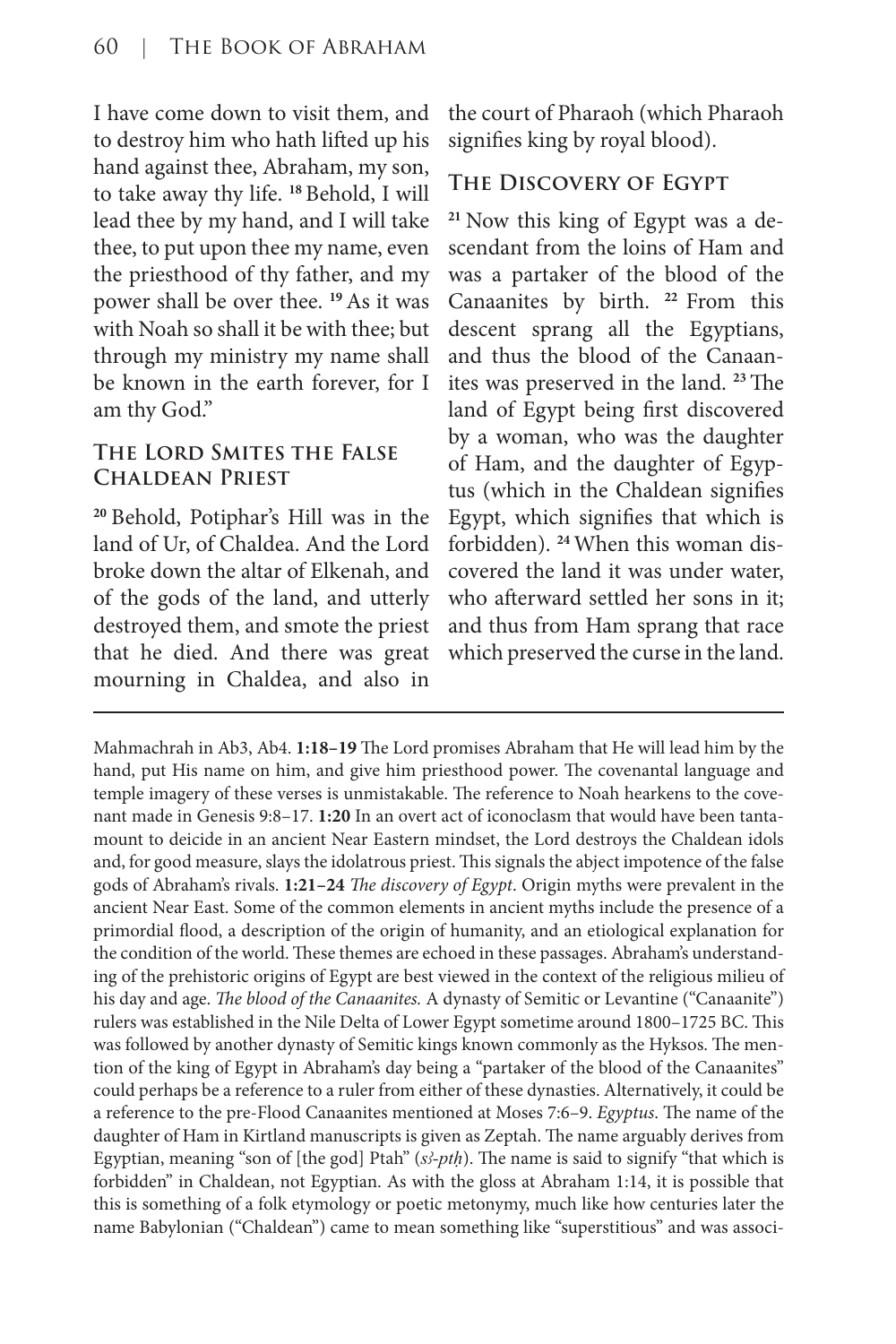I have come down to visit them, and to destroy him who hath lifted up his hand against thee, Abraham, my son, to take away thy life. **<sup>18</sup>**Behold, I will lead thee by my hand, and I will take thee, to put upon thee my name, even the priesthood of thy father, and my power shall be over thee. **<sup>19</sup>**As it was with Noah so shall it be with thee; but through my ministry my name shall be known in the earth forever, for I am thy God."

# **The Lord Smites the False Chaldean Priest**

**<sup>20</sup>**Behold, Potiphar's Hill was in the land of Ur, of Chaldea. And the Lord broke down the altar of Elkenah, and of the gods of the land, and utterly destroyed them, and smote the priest that he died. And there was great mourning in Chaldea, and also in the court of Pharaoh (which Pharaoh signifies king by royal blood).

# **The Discovery of Egypt**

**21** Now this king of Egypt was a descendant from the loins of Ham and was a partaker of the blood of the Canaanites by birth. **<sup>22</sup>** From this descent sprang all the Egyptians, and thus the blood of the Canaanites was preserved in the land. **<sup>23</sup>**The land of Egypt being first discovered by a woman, who was the daughter of Ham, and the daughter of Egyptus (which in the Chaldean signifies Egypt, which signifies that which is forbidden). **24** When this woman discovered the land it was under water, who afterward settled her sons in it; and thus from Ham sprang that race which preserved the curse in the land.

Mahmachrah in Ab3, Ab4. **1:18–19** The Lord promises Abraham that He will lead him by the hand, put His name on him, and give him priesthood power. The covenantal language and temple imagery of these verses is unmistakable. The reference to Noah hearkens to the covenant made in Genesis 9:8–17. **1:20** In an overt act of iconoclasm that would have been tantamount to deicide in an ancient Near Eastern mindset, the Lord destroys the Chaldean idols and, for good measure, slays the idolatrous priest. This signals the abject impotence of the false gods of Abraham's rivals. **1:21–24** *The discovery of Egypt*. Origin myths were prevalent in the ancient Near East. Some of the common elements in ancient myths include the presence of a primordial flood, a description of the origin of humanity, and an etiological explanation for the condition of the world. These themes are echoed in these passages. Abraham's understanding of the prehistoric origins of Egypt are best viewed in the context of the religious milieu of his day and age. *The blood of the Canaanites.* A dynasty of Semitic or Levantine ("Canaanite") rulers was established in the Nile Delta of Lower Egypt sometime around 1800–1725 BC. This was followed by another dynasty of Semitic kings known commonly as the Hyksos. The mention of the king of Egypt in Abraham's day being a "partaker of the blood of the Canaanites" could perhaps be a reference to a ruler from either of these dynasties. Alternatively, it could be a reference to the pre-Flood Canaanites mentioned at Moses 7:6–9. *Egyptus*. The name of the daughter of Ham in Kirtland manuscripts is given as Zeptah. The name arguably derives from Egyptian, meaning "son of [the god] Ptah" (*sꜢ-ptḥ*). The name is said to signify "that which is forbidden" in Chaldean, not Egyptian. As with the gloss at Abraham 1:14, it is possible that this is something of a folk etymology or poetic metonymy, much like how centuries later the name Babylonian ("Chaldean") came to mean something like "superstitious" and was associ-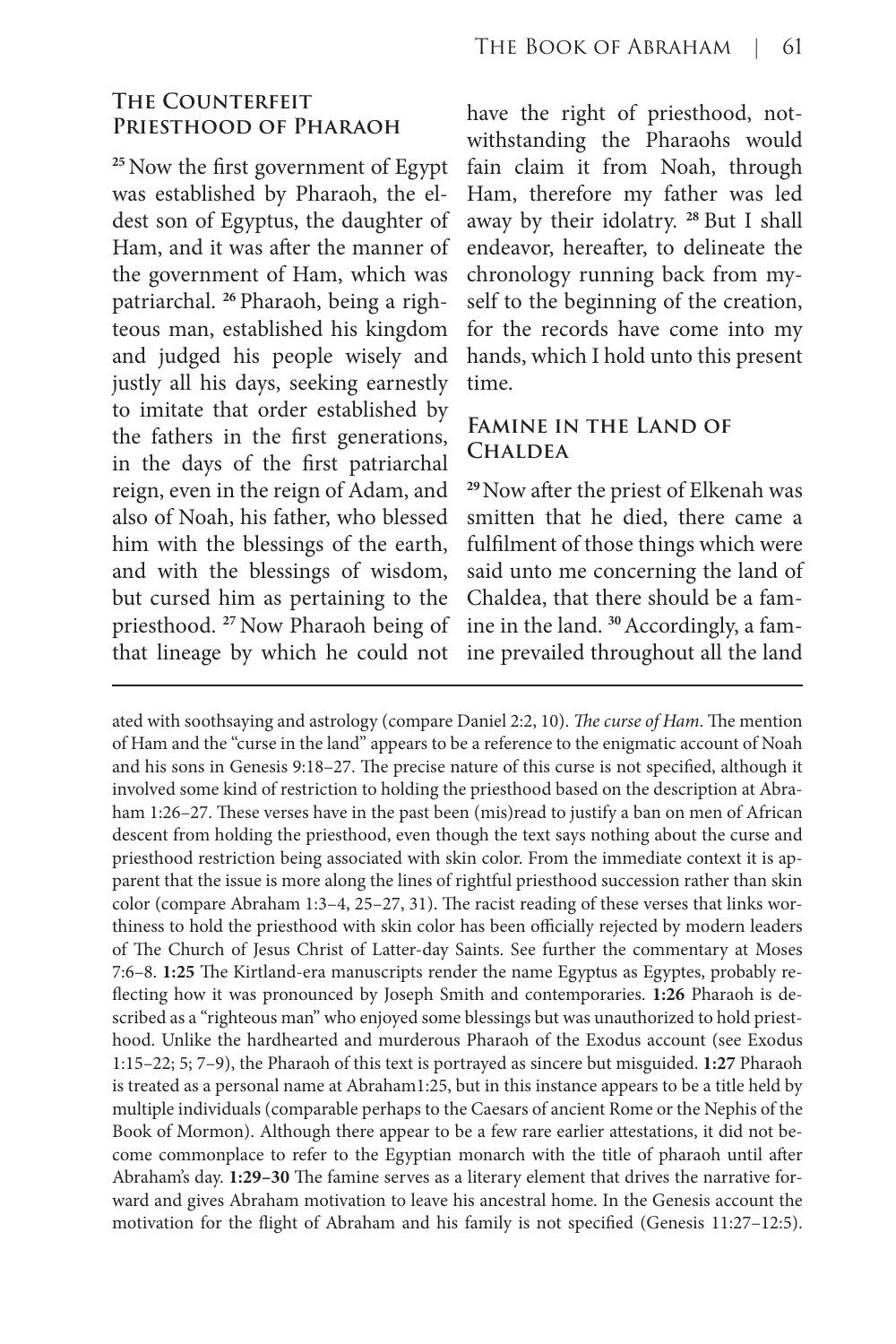#### **The Counterfeit Priesthood of Pharaoh**

**<sup>25</sup>**Now the first government of Egypt was established by Pharaoh, the eldest son of Egyptus, the daughter of Ham, and it was after the manner of the government of Ham, which was patriarchal. **26** Pharaoh, being a righteous man, established his kingdom and judged his people wisely and justly all his days, seeking earnestly to imitate that order established by the fathers in the first generations, in the days of the first patriarchal reign, even in the reign of Adam, and also of Noah, his father, who blessed him with the blessings of the earth, and with the blessings of wisdom, but cursed him as pertaining to the priesthood. **<sup>27</sup>**Now Pharaoh being of that lineage by which he could not

have the right of priesthood, notwithstanding the Pharaohs would fain claim it from Noah, through Ham, therefore my father was led away by their idolatry. **<sup>28</sup>**But I shall endeavor, hereafter, to delineate the chronology running back from myself to the beginning of the creation, for the records have come into my hands, which I hold unto this present time.

#### **Famine in the Land of Chaldea**

**<sup>29</sup>**Now after the priest of Elkenah was smitten that he died, there came a fulfilment of those things which were said unto me concerning the land of Chaldea, that there should be a famine in the land. **30** Accordingly, a famine prevailed throughout all the land

ated with soothsaying and astrology (compare Daniel 2:2, 10). *The curse of Ham*. The mention of Ham and the "curse in the land" appears to be a reference to the enigmatic account of Noah and his sons in Genesis 9:18–27. The precise nature of this curse is not specified, although it involved some kind of restriction to holding the priesthood based on the description at Abraham 1:26–27. These verses have in the past been (mis)read to justify a ban on men of African descent from holding the priesthood, even though the text says nothing about the curse and priesthood restriction being associated with skin color. From the immediate context it is apparent that the issue is more along the lines of rightful priesthood succession rather than skin color (compare Abraham 1:3–4, 25–27, 31). The racist reading of these verses that links worthiness to hold the priesthood with skin color has been officially rejected by modern leaders of The Church of Jesus Christ of Latter-day Saints. See further the commentary at Moses 7:6–8. **1:25** The Kirtland-era manuscripts render the name Egyptus as Egyptes, probably reflecting how it was pronounced by Joseph Smith and contemporaries. **1:26** Pharaoh is described as a "righteous man" who enjoyed some blessings but was unauthorized to hold priesthood. Unlike the hardhearted and murderous Pharaoh of the Exodus account (see Exodus 1:15–22; 5; 7–9), the Pharaoh of this text is portrayed as sincere but misguided. **1:27** Pharaoh is treated as a personal name at Abraham1:25, but in this instance appears to be a title held by multiple individuals (comparable perhaps to the Caesars of ancient Rome or the Nephis of the Book of Mormon). Although there appear to be a few rare earlier attestations, it did not become commonplace to refer to the Egyptian monarch with the title of pharaoh until after Abraham's day. **1:29–30** The famine serves as a literary element that drives the narrative forward and gives Abraham motivation to leave his ancestral home. In the Genesis account the motivation for the flight of Abraham and his family is not specified (Genesis 11:27–12:5).